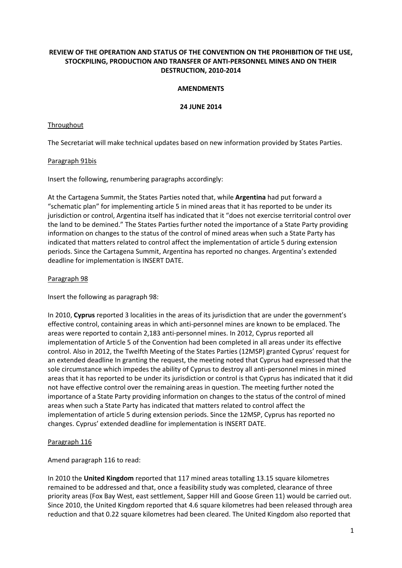# **REVIEW OF THE OPERATION AND STATUS OF THE CONVENTION ON THE PROHIBITION OF THE USE, STOCKPILING, PRODUCTION AND TRANSFER OF ANTI-PERSONNEL MINES AND ON THEIR DESTRUCTION, 2010-2014**

### **AMENDMENTS**

### **24 JUNE 2014**

### **Throughout**

The Secretariat will make technical updates based on new information provided by States Parties.

### Paragraph 91bis

Insert the following, renumbering paragraphs accordingly:

At the Cartagena Summit, the States Parties noted that, while **Argentina** had put forward a "schematic plan" for implementing article 5 in mined areas that it has reported to be under its jurisdiction or control, Argentina itself has indicated that it "does not exercise territorial control over the land to be demined." The States Parties further noted the importance of a State Party providing information on changes to the status of the control of mined areas when such a State Party has indicated that matters related to control affect the implementation of article 5 during extension periods. Since the Cartagena Summit, Argentina has reported no changes. Argentina's extended deadline for implementation is INSERT DATE.

### Paragraph 98

Insert the following as paragraph 98:

In 2010, **Cyprus** reported 3 localities in the areas of its jurisdiction that are under the government's effective control, containing areas in which anti-personnel mines are known to be emplaced. The areas were reported to contain 2,183 anti-personnel mines. In 2012, Cyprus reported all implementation of Article 5 of the Convention had been completed in all areas under its effective control. Also in 2012, the Twelfth Meeting of the States Parties (12MSP) granted Cyprus' request for an extended deadline In granting the request, the meeting noted that Cyprus had expressed that the sole circumstance which impedes the ability of Cyprus to destroy all anti-personnel mines in mined areas that it has reported to be under its jurisdiction or control is that Cyprus has indicated that it did not have effective control over the remaining areas in question. The meeting further noted the importance of a State Party providing information on changes to the status of the control of mined areas when such a State Party has indicated that matters related to control affect the implementation of article 5 during extension periods. Since the 12MSP, Cyprus has reported no changes. Cyprus' extended deadline for implementation is INSERT DATE.

# Paragraph 116

Amend paragraph 116 to read:

In 2010 the **United Kingdom** reported that 117 mined areas totalling 13.15 square kilometres remained to be addressed and that, once a feasibility study was completed, clearance of three priority areas (Fox Bay West, east settlement, Sapper Hill and Goose Green 11) would be carried out. Since 2010, the United Kingdom reported that 4.6 square kilometres had been released through area reduction and that 0.22 square kilometres had been cleared. The United Kingdom also reported that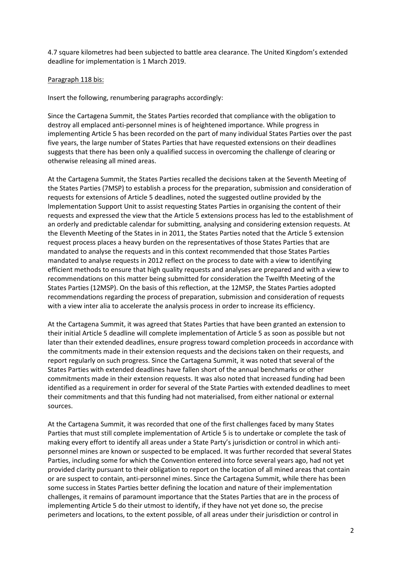4.7 square kilometres had been subjected to battle area clearance. The United Kingdom's extended deadline for implementation is 1 March 2019.

### Paragraph 118 bis:

Insert the following, renumbering paragraphs accordingly:

Since the Cartagena Summit, the States Parties recorded that compliance with the obligation to destroy all emplaced anti-personnel mines is of heightened importance. While progress in implementing Article 5 has been recorded on the part of many individual States Parties over the past five years, the large number of States Parties that have requested extensions on their deadlines suggests that there has been only a qualified success in overcoming the challenge of clearing or otherwise releasing all mined areas.

At the Cartagena Summit, the States Parties recalled the decisions taken at the Seventh Meeting of the States Parties (7MSP) to establish a process for the preparation, submission and consideration of requests for extensions of Article 5 deadlines, noted the suggested outline provided by the Implementation Support Unit to assist requesting States Parties in organising the content of their requests and expressed the view that the Article 5 extensions process has led to the establishment of an orderly and predictable calendar for submitting, analysing and considering extension requests. At the Eleventh Meeting of the States in in 2011, the States Parties noted that the Article 5 extension request process places a heavy burden on the representatives of those States Parties that are mandated to analyse the requests and in this context recommended that those States Parties mandated to analyse requests in 2012 reflect on the process to date with a view to identifying efficient methods to ensure that high quality requests and analyses are prepared and with a view to recommendations on this matter being submitted for consideration the Twelfth Meeting of the States Parties (12MSP). On the basis of this reflection, at the 12MSP, the States Parties adopted recommendations regarding the process of preparation, submission and consideration of requests with a view inter alia to accelerate the analysis process in order to increase its efficiency.

At the Cartagena Summit, it was agreed that States Parties that have been granted an extension to their initial Article 5 deadline will complete implementation of Article 5 as soon as possible but not later than their extended deadlines, ensure progress toward completion proceeds in accordance with the commitments made in their extension requests and the decisions taken on their requests, and report regularly on such progress. Since the Cartagena Summit, it was noted that several of the States Parties with extended deadlines have fallen short of the annual benchmarks or other commitments made in their extension requests. It was also noted that increased funding had been identified as a requirement in order for several of the State Parties with extended deadlines to meet their commitments and that this funding had not materialised, from either national or external sources.

At the Cartagena Summit, it was recorded that one of the first challenges faced by many States Parties that must still complete implementation of Article 5 is to undertake or complete the task of making every effort to identify all areas under a State Party's jurisdiction or control in which antipersonnel mines are known or suspected to be emplaced. It was further recorded that several States Parties, including some for which the Convention entered into force several years ago, had not yet provided clarity pursuant to their obligation to report on the location of all mined areas that contain or are suspect to contain, anti-personnel mines. Since the Cartagena Summit, while there has been some success in States Parties better defining the location and nature of their implementation challenges, it remains of paramount importance that the States Parties that are in the process of implementing Article 5 do their utmost to identify, if they have not yet done so, the precise perimeters and locations, to the extent possible, of all areas under their jurisdiction or control in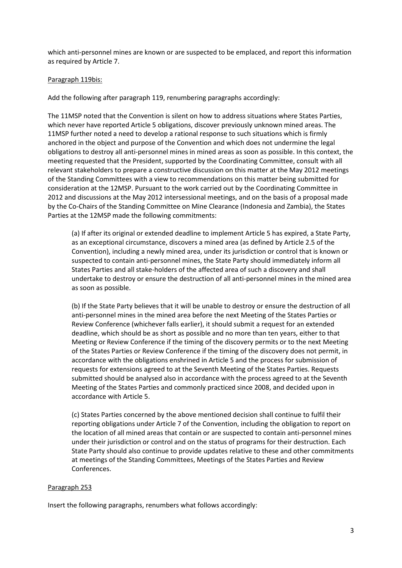which anti-personnel mines are known or are suspected to be emplaced, and report this information as required by Article 7.

### Paragraph 119bis:

Add the following after paragraph 119, renumbering paragraphs accordingly:

The 11MSP noted that the Convention is silent on how to address situations where States Parties, which never have reported Article 5 obligations, discover previously unknown mined areas. The 11MSP further noted a need to develop a rational response to such situations which is firmly anchored in the object and purpose of the Convention and which does not undermine the legal obligations to destroy all anti-personnel mines in mined areas as soon as possible. In this context, the meeting requested that the President, supported by the Coordinating Committee, consult with all relevant stakeholders to prepare a constructive discussion on this matter at the May 2012 meetings of the Standing Committees with a view to recommendations on this matter being submitted for consideration at the 12MSP. Pursuant to the work carried out by the Coordinating Committee in 2012 and discussions at the May 2012 intersessional meetings, and on the basis of a proposal made by the Co-Chairs of the Standing Committee on Mine Clearance (Indonesia and Zambia), the States Parties at the 12MSP made the following commitments:

(a) If after its original or extended deadline to implement Article 5 has expired, a State Party, as an exceptional circumstance, discovers a mined area (as defined by Article 2.5 of the Convention), including a newly mined area, under its jurisdiction or control that is known or suspected to contain anti-personnel mines, the State Party should immediately inform all States Parties and all stake-holders of the affected area of such a discovery and shall undertake to destroy or ensure the destruction of all anti-personnel mines in the mined area as soon as possible.

(b) If the State Party believes that it will be unable to destroy or ensure the destruction of all anti-personnel mines in the mined area before the next Meeting of the States Parties or Review Conference (whichever falls earlier), it should submit a request for an extended deadline, which should be as short as possible and no more than ten years, either to that Meeting or Review Conference if the timing of the discovery permits or to the next Meeting of the States Parties or Review Conference if the timing of the discovery does not permit, in accordance with the obligations enshrined in Article 5 and the process for submission of requests for extensions agreed to at the Seventh Meeting of the States Parties. Requests submitted should be analysed also in accordance with the process agreed to at the Seventh Meeting of the States Parties and commonly practiced since 2008, and decided upon in accordance with Article 5.

(c) States Parties concerned by the above mentioned decision shall continue to fulfil their reporting obligations under Article 7 of the Convention, including the obligation to report on the location of all mined areas that contain or are suspected to contain anti-personnel mines under their jurisdiction or control and on the status of programs for their destruction. Each State Party should also continue to provide updates relative to these and other commitments at meetings of the Standing Committees, Meetings of the States Parties and Review Conferences.

### Paragraph 253

Insert the following paragraphs, renumbers what follows accordingly: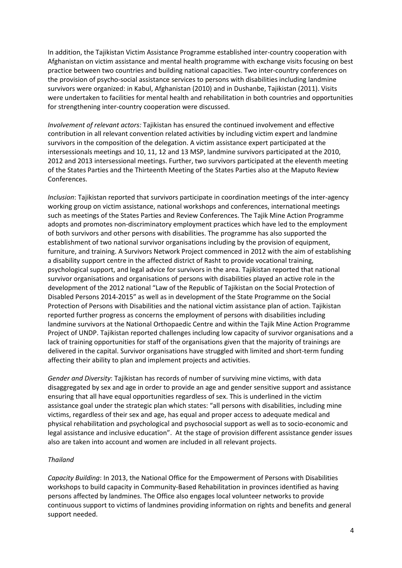In addition, the Tajikistan Victim Assistance Programme established inter-country cooperation with Afghanistan on victim assistance and mental health programme with exchange visits focusing on best practice between two countries and building national capacities. Two inter-country conferences on the provision of psycho-social assistance services to persons with disabilities including landmine survivors were organized: in Kabul, Afghanistan (2010) and in Dushanbe, Tajikistan (2011). Visits were undertaken to facilities for mental health and rehabilitation in both countries and opportunities for strengthening inter-country cooperation were discussed.

*Involvement of relevant actors:* Tajikistan has ensured the continued involvement and effective contribution in all relevant convention related activities by including victim expert and landmine survivors in the composition of the delegation. A victim assistance expert participated at the intersessionals meetings and 10, 11, 12 and 13 MSP, landmine survivors participated at the 2010, 2012 and 2013 intersessional meetings. Further, two survivors participated at the eleventh meeting of the States Parties and the Thirteenth Meeting of the States Parties also at the Maputo Review Conferences.

*Inclusion*: Tajikistan reported that survivors participate in coordination meetings of the inter-agency working group on victim assistance, national workshops and conferences, international meetings such as meetings of the States Parties and Review Conferences. The Tajik Mine Action Programme adopts and promotes non-discriminatory employment practices which have led to the employment of both survivors and other persons with disabilities. The programme has also supported the establishment of two national survivor organisations including by the provision of equipment, furniture, and training. A Survivors Network Project commenced in 2012 with the aim of establishing a disability support centre in the affected district of Rasht to provide vocational training, psychological support, and legal advice for survivors in the area. Tajikistan reported that national survivor organisations and organisations of persons with disabilities played an active role in the development of the 2012 national "Law of the Republic of Tajikistan on the Social Protection of Disabled Persons 2014-2015" as well as in development of the State Programme on the Social Protection of Persons with Disabilities and the national victim assistance plan of action. Tajikistan reported further progress as concerns the employment of persons with disabilities including landmine survivors at the National Orthopaedic Centre and within the Tajik Mine Action Programme Project of UNDP. Tajikistan reported challenges including low capacity of survivor organisations and a lack of training opportunities for staff of the organisations given that the majority of trainings are delivered in the capital. Survivor organisations have struggled with limited and short-term funding affecting their ability to plan and implement projects and activities.

*Gender and Diversity*: Tajikistan has records of number of surviving mine victims, with data disaggregated by sex and age in order to provide an age and gender sensitive support and assistance ensuring that all have equal opportunities regardless of sex. This is underlined in the victim assistance goal under the strategic plan which states: "all persons with disabilities, including mine victims, regardless of their sex and age, has equal and proper access to adequate medical and physical rehabilitation and psychological and psychosocial support as well as to socio-economic and legal assistance and inclusive education". At the stage of provision different assistance gender issues also are taken into account and women are included in all relevant projects.

### *Thailand*

*Capacity Building*: In 2013, the National Office for the Empowerment of Persons with Disabilities workshops to build capacity in Community-Based Rehabilitation in provinces identified as having persons affected by landmines. The Office also engages local volunteer networks to provide continuous support to victims of landmines providing information on rights and benefits and general support needed.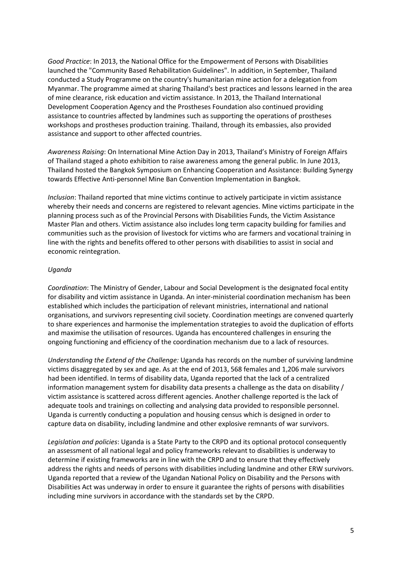*Good Practice*: In 2013, the National Office for the Empowerment of Persons with Disabilities launched the "Community Based Rehabilitation Guidelines". In addition, in September, Thailand conducted a Study Programme on the country's humanitarian mine action for a delegation from Myanmar. The programme aimed at sharing Thailand's best practices and lessons learned in the area of mine clearance, risk education and victim assistance. In 2013, the Thailand International Development Cooperation Agency and the Prostheses Foundation also continued providing assistance to countries affected by landmines such as supporting the operations of prostheses workshops and prostheses production training. Thailand, through its embassies, also provided assistance and support to other affected countries.

*Awareness Raising*: On International Mine Action Day in 2013, Thailand's Ministry of Foreign Affairs of Thailand staged a photo exhibition to raise awareness among the general public. In June 2013, Thailand hosted the Bangkok Symposium on Enhancing Cooperation and Assistance: Building Synergy towards Effective Anti-personnel Mine Ban Convention Implementation in Bangkok.

*Inclusion*: Thailand reported that mine victims continue to actively participate in victim assistance whereby their needs and concerns are registered to relevant agencies. Mine victims participate in the planning process such as of the Provincial Persons with Disabilities Funds, the Victim Assistance Master Plan and others. Victim assistance also includes long term capacity building for families and communities such as the provision of livestock for victims who are farmers and vocational training in line with the rights and benefits offered to other persons with disabilities to assist in social and economic reintegration.

### *Uganda*

*Coordination*: The Ministry of Gender, Labour and Social Development is the designated focal entity for disability and victim assistance in Uganda. An inter-ministerial coordination mechanism has been established which includes the participation of relevant ministries, international and national organisations, and survivors representing civil society. Coordination meetings are convened quarterly to share experiences and harmonise the implementation strategies to avoid the duplication of efforts and maximise the utilisation of resources. Uganda has encountered challenges in ensuring the ongoing functioning and efficiency of the coordination mechanism due to a lack of resources.

*Understanding the Extend of the Challenge:* Uganda has records on the number of surviving landmine victims disaggregated by sex and age. As at the end of 2013, 568 females and 1,206 male survivors had been identified. In terms of disability data, Uganda reported that the lack of a centralized information management system for disability data presents a challenge as the data on disability / victim assistance is scattered across different agencies. Another challenge reported is the lack of adequate tools and trainings on collecting and analysing data provided to responsible personnel. Uganda is currently conducting a population and housing census which is designed in order to capture data on disability, including landmine and other explosive remnants of war survivors.

*Legislation and policies*: Uganda is a State Party to the CRPD and its optional protocol consequently an assessment of all national legal and policy frameworks relevant to disabilities is underway to determine if existing frameworks are in line with the CRPD and to ensure that they effectively address the rights and needs of persons with disabilities including landmine and other ERW survivors. Uganda reported that a review of the Ugandan National Policy on Disability and the Persons with Disabilities Act was underway in order to ensure it guarantee the rights of persons with disabilities including mine survivors in accordance with the standards set by the CRPD.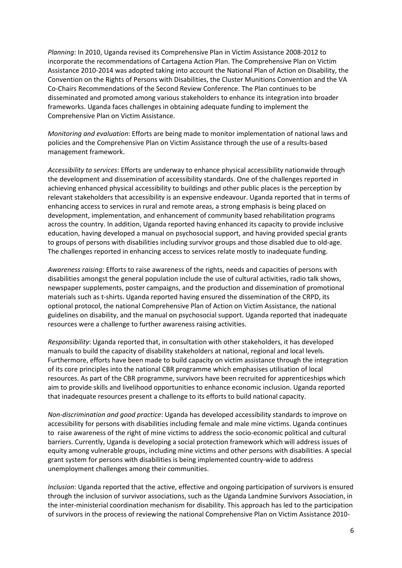*Planning*: In 2010, Uganda revised its Comprehensive Plan in Victim Assistance 2008-2012 to incorporate the recommendations of Cartagena Action Plan. The Comprehensive Plan on Victim Assistance 2010-2014 was adopted taking into account the National Plan of Action on Disability, the Convention on the Rights of Persons with Disabilities, the Cluster Munitions Convention and the VA Co-Chairs Recommendations of the Second Review Conference. The Plan continues to be disseminated and promoted among various stakeholders to enhance its integration into broader frameworks. Uganda faces challenges in obtaining adequate funding to implement the Comprehensive Plan on Victim Assistance.

*Monitoring and evaluation*: Efforts are being made to monitor implementation of national laws and policies and the Comprehensive Plan on Victim Assistance through the use of a results-based management framework.

*Accessibility to services*: Efforts are underway to enhance physical accessibility nationwide through the development and dissemination of accessibility standards. One of the challenges reported in achieving enhanced physical accessibility to buildings and other public places is the perception by relevant stakeholders that accessibility is an expensive endeavour. Uganda reported that in terms of enhancing access to services in rural and remote areas, a strong emphasis is being placed on development, implementation, and enhancement of community based rehabilitation programs across the country. In addition, Uganda reported having enhanced its capacity to provide inclusive education, having developed a manual on psychosocial support, and having provided special grants to groups of persons with disabilities including survivor groups and those disabled due to old-age. The challenges reported in enhancing access to services relate mostly to inadequate funding.

*Awareness raising*: Efforts to raise awareness of the rights, needs and capacities of persons with disabilities amongst the general population include the use of cultural activities, radio talk shows, newspaper supplements, poster campaigns, and the production and dissemination of promotional materials such as t-shirts. Uganda reported having ensured the dissemination of the CRPD, its optional protocol, the national Comprehensive Plan of Action on Victim Assistance, the national guidelines on disability, and the manual on psychosocial support. Uganda reported that inadequate resources were a challenge to further awareness raising activities.

*Responsibility*: Uganda reported that, in consultation with other stakeholders, it has developed manuals to build the capacity of disability stakeholders at national, regional and local levels. Furthermore, efforts have been made to build capacity on victim assistance through the integration of its core principles into the national CBR programme which emphasises utilisation of local resources. As part of the CBR programme, survivors have been recruited for apprenticeships which aim to provide skills and livelihood opportunities to enhance economic inclusion. Uganda reported that inadequate resources present a challenge to its efforts to build national capacity.

*Non-discrimination and good practice*: Uganda has developed accessibility standards to improve on accessibility for persons with disabilities including female and male mine victims. Uganda continues to raise awareness of the right of mine victims to address the socio-economic political and cultural barriers. Currently, Uganda is developing a social protection framework which will address issues of equity among vulnerable groups, including mine victims and other persons with disabilities. A special grant system for persons with disabilities is being implemented country-wide to address unemployment challenges among their communities.

*Inclusion*: Uganda reported that the active, effective and ongoing participation of survivors is ensured through the inclusion of survivor associations, such as the Uganda Landmine Survivors Association, in the inter-ministerial coordination mechanism for disability. This approach has led to the participation of survivors in the process of reviewing the national Comprehensive Plan on Victim Assistance 2010